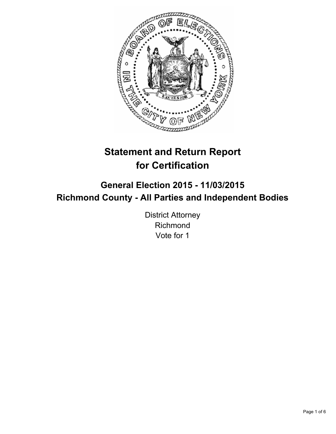

# **Statement and Return Report for Certification**

## **General Election 2015 - 11/03/2015 Richmond County - All Parties and Independent Bodies**

District Attorney Richmond Vote for 1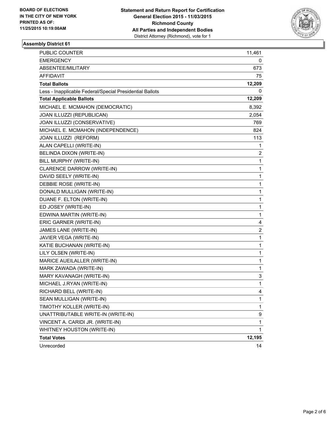

#### **Assembly District 61**

| PUBLIC COUNTER                                           | 11,461 |
|----------------------------------------------------------|--------|
| <b>EMERGENCY</b>                                         | 0      |
| ABSENTEE/MILITARY                                        | 673    |
| <b>AFFIDAVIT</b>                                         | 75     |
| <b>Total Ballots</b>                                     | 12,209 |
| Less - Inapplicable Federal/Special Presidential Ballots | 0      |
| <b>Total Applicable Ballots</b>                          | 12,209 |
| MICHAEL E. MCMAHON (DEMOCRATIC)                          | 8,392  |
| JOAN ILLUZZI (REPUBLICAN)                                | 2,054  |
| JOAN ILLUZZI (CONSERVATIVE)                              | 769    |
| MICHAEL E. MCMAHON (INDEPENDENCE)                        | 824    |
| JOAN ILLUZZI (REFORM)                                    | 113    |
| ALAN CAPELLI (WRITE-IN)                                  | 1      |
| BELINDA DIXON (WRITE-IN)                                 | 2      |
| BILL MURPHY (WRITE-IN)                                   | 1      |
| CLARENCE DARROW (WRITE-IN)                               | 1      |
| DAVID SEELY (WRITE-IN)                                   | 1      |
| DEBBIE ROSE (WRITE-IN)                                   | 1      |
| DONALD MULLIGAN (WRITE-IN)                               | 1      |
| DUANE F. ELTON (WRITE-IN)                                | 1      |
| ED JOSEY (WRITE-IN)                                      | 1      |
| EDWINA MARTIN (WRITE-IN)                                 | 1      |
| ERIC GARNER (WRITE-IN)                                   | 4      |
| JAMES LANE (WRITE-IN)                                    | 2      |
| JAVIER VEGA (WRITE-IN)                                   | 1      |
| KATIE BUCHANAN (WRITE-IN)                                | 1      |
| LILY OLSEN (WRITE-IN)                                    | 1      |
| MARICE AUEILALLER (WRITE-IN)                             | 1      |
| MARK ZAWADA (WRITE-IN)                                   | 1      |
| MARY KAVANAGH (WRITE-IN)                                 | 3      |
| MICHAEL J.RYAN (WRITE-IN)                                | 1      |
| RICHARD BELL (WRITE-IN)                                  | 4      |
| SEAN MULLIGAN (WRITE-IN)                                 | 1      |
| TIMOTHY KOLLER (WRITE-IN)                                | 1      |
| UNATTRIBUTABLE WRITE-IN (WRITE-IN)                       | 9      |
| VINCENT A. CARIDI JR. (WRITE-IN)                         | 1      |
| WHITNEY HOUSTON (WRITE-IN)                               | 1      |
| <b>Total Votes</b>                                       | 12,195 |
| Unrecorded                                               | 14     |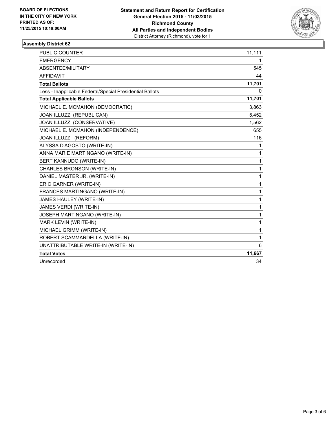

#### **Assembly District 62**

| <b>PUBLIC COUNTER</b>                                    | 11,111 |
|----------------------------------------------------------|--------|
| <b>EMERGENCY</b>                                         | 1      |
| ABSENTEE/MILITARY                                        | 545    |
| <b>AFFIDAVIT</b>                                         | 44     |
| <b>Total Ballots</b>                                     | 11,701 |
| Less - Inapplicable Federal/Special Presidential Ballots | 0      |
| <b>Total Applicable Ballots</b>                          | 11,701 |
| MICHAEL E. MCMAHON (DEMOCRATIC)                          | 3,863  |
| JOAN ILLUZZI (REPUBLICAN)                                | 5,452  |
| JOAN ILLUZZI (CONSERVATIVE)                              | 1,562  |
| MICHAEL E. MCMAHON (INDEPENDENCE)                        | 655    |
| JOAN ILLUZZI (REFORM)                                    | 116    |
| ALYSSA D'AGOSTO (WRITE-IN)                               | 1      |
| ANNA MARIE MARTINGANO (WRITE-IN)                         | 1      |
| BERT KANNUDO (WRITE-IN)                                  | 1      |
| CHARLES BRONSON (WRITE-IN)                               | 1      |
| DANIEL MASTER JR. (WRITE-IN)                             | 1      |
| ERIC GARNER (WRITE-IN)                                   | 1      |
| FRANCES MARTINGANO (WRITE-IN)                            | 1      |
| JAMES HAULEY (WRITE-IN)                                  | 1      |
| JAMES VERDI (WRITE-IN)                                   | 1      |
| JOSEPH MARTINGANO (WRITE-IN)                             | 1      |
| MARK LEVIN (WRITE-IN)                                    | 1      |
| MICHAEL GRIMM (WRITE-IN)                                 | 1      |
| ROBERT SCAMMARDELLA (WRITE-IN)                           | 1      |
| UNATTRIBUTABLE WRITE-IN (WRITE-IN)                       | 6      |
| <b>Total Votes</b>                                       | 11,667 |
| Unrecorded                                               | 34     |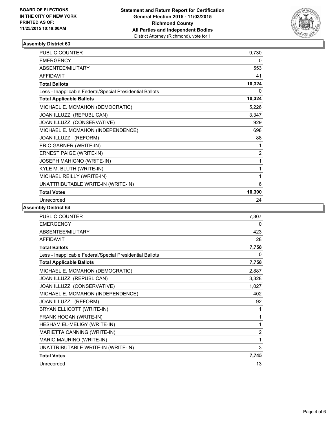

#### **Assembly District 63**

| <b>PUBLIC COUNTER</b>                                    | 9,730  |
|----------------------------------------------------------|--------|
| <b>EMERGENCY</b>                                         | 0      |
| ABSENTEE/MILITARY                                        | 553    |
| <b>AFFIDAVIT</b>                                         | 41     |
| <b>Total Ballots</b>                                     | 10,324 |
| Less - Inapplicable Federal/Special Presidential Ballots | 0      |
| <b>Total Applicable Ballots</b>                          | 10,324 |
| MICHAEL E. MCMAHON (DEMOCRATIC)                          | 5,226  |
| JOAN ILLUZZI (REPUBLICAN)                                | 3,347  |
| JOAN ILLUZZI (CONSERVATIVE)                              | 929    |
| MICHAEL E. MCMAHON (INDEPENDENCE)                        | 698    |
| JOAN ILLUZZI (REFORM)                                    | 88     |
| ERIC GARNER (WRITE-IN)                                   | 1      |
| <b>ERNEST PAIGE (WRITE-IN)</b>                           | 2      |
| JOSEPH MAHIGNO (WRITE-IN)                                | 1      |
| KYLE M. BLUTH (WRITE-IN)                                 | 1      |
| MICHAEL REILLY (WRITE-IN)                                | 1      |
| UNATTRIBUTABLE WRITE-IN (WRITE-IN)                       | 6      |
| <b>Total Votes</b>                                       | 10,300 |
| Unrecorded                                               | 24     |

**Assembly District 64**

| <b>PUBLIC COUNTER</b>                                    | 7,307 |
|----------------------------------------------------------|-------|
| <b>EMERGENCY</b>                                         | 0     |
| ABSENTEE/MILITARY                                        | 423   |
| <b>AFFIDAVIT</b>                                         | 28    |
| <b>Total Ballots</b>                                     | 7,758 |
| Less - Inapplicable Federal/Special Presidential Ballots | 0     |
| <b>Total Applicable Ballots</b>                          | 7,758 |
| MICHAEL E. MCMAHON (DEMOCRATIC)                          | 2,887 |
| JOAN ILLUZZI (REPUBLICAN)                                | 3,328 |
| JOAN ILLUZZI (CONSERVATIVE)                              | 1,027 |
| MICHAEL E. MCMAHON (INDEPENDENCE)                        | 402   |
| JOAN ILLUZZI (REFORM)                                    | 92    |
| BRYAN ELLICOTT (WRITE-IN)                                | 1     |
| FRANK HOGAN (WRITE-IN)                                   | 1     |
| HESHAM EL-MELIGY (WRITE-IN)                              | 1     |
| MARIETTA CANNING (WRITE-IN)                              | 2     |
| MARIO MAURINO (WRITE-IN)                                 | 1     |
| UNATTRIBUTABLE WRITE-IN (WRITE-IN)                       | 3     |
| <b>Total Votes</b>                                       | 7,745 |
| Unrecorded                                               | 13    |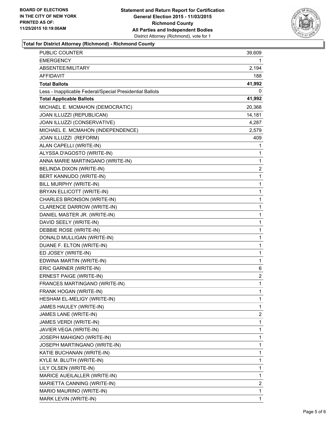

#### **Total for District Attorney (Richmond) - Richmond County**

| PUBLIC COUNTER                                           | 39,609       |
|----------------------------------------------------------|--------------|
| <b>EMERGENCY</b>                                         | 1            |
| ABSENTEE/MILITARY                                        | 2,194        |
| AFFIDAVIT                                                | 188          |
| <b>Total Ballots</b>                                     | 41,992       |
| Less - Inapplicable Federal/Special Presidential Ballots | 0            |
| <b>Total Applicable Ballots</b>                          | 41,992       |
| MICHAEL E. MCMAHON (DEMOCRATIC)                          | 20,368       |
| JOAN ILLUZZI (REPUBLICAN)                                | 14,181       |
| JOAN ILLUZZI (CONSERVATIVE)                              | 4,287        |
| MICHAEL E. MCMAHON (INDEPENDENCE)                        | 2,579        |
| JOAN ILLUZZI (REFORM)                                    | 409          |
| ALAN CAPELLI (WRITE-IN)                                  | 1            |
| ALYSSA D'AGOSTO (WRITE-IN)                               | 1            |
| ANNA MARIE MARTINGANO (WRITE-IN)                         | 1            |
| BELINDA DIXON (WRITE-IN)                                 | 2            |
| BERT KANNUDO (WRITE-IN)                                  | 1            |
| BILL MURPHY (WRITE-IN)                                   | 1            |
| BRYAN ELLICOTT (WRITE-IN)                                | 1            |
| CHARLES BRONSON (WRITE-IN)                               | 1            |
| CLARENCE DARROW (WRITE-IN)                               | 1            |
| DANIEL MASTER JR. (WRITE-IN)                             | 1            |
| DAVID SEELY (WRITE-IN)                                   | 1            |
| DEBBIE ROSE (WRITE-IN)                                   | 1            |
| DONALD MULLIGAN (WRITE-IN)                               | 1            |
| DUANE F. ELTON (WRITE-IN)                                | $\mathbf{1}$ |
| ED JOSEY (WRITE-IN)                                      | 1            |
| EDWINA MARTIN (WRITE-IN)                                 | 1            |
| ERIC GARNER (WRITE-IN)                                   | 6            |
| ERNEST PAIGE (WRITE-IN)                                  | 2            |
| FRANCES MARTINGANO (WRITE-IN)                            | 1            |
| FRANK HOGAN (WRITE-IN)                                   | 1            |
| HESHAM EL-MELIGY (WRITE-IN)                              | 1            |
| JAMES HAULEY (WRITE-IN)                                  | 1            |
| JAMES LANE (WRITE-IN)                                    | 2            |
| JAMES VERDI (WRITE-IN)                                   | 1            |
| JAVIER VEGA (WRITE-IN)                                   | 1            |
| JOSEPH MAHIGNO (WRITE-IN)                                | 1            |
| JOSEPH MARTINGANO (WRITE-IN)                             | 1            |
| KATIE BUCHANAN (WRITE-IN)                                | 1            |
| KYLE M. BLUTH (WRITE-IN)                                 | 1            |
| LILY OLSEN (WRITE-IN)                                    | 1            |
| MARICE AUEILALLER (WRITE-IN)                             | 1            |
| MARIETTA CANNING (WRITE-IN)                              | 2            |
| MARIO MAURINO (WRITE-IN)                                 | 1            |
| MARK LEVIN (WRITE-IN)                                    | 1            |